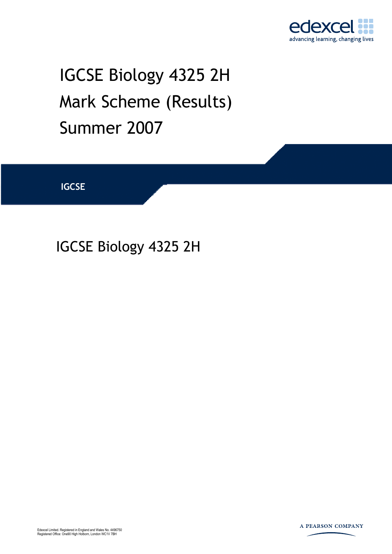

# IGCSE Biology 4325 2H Mark Scheme (Results) Summer 2007

**IGCSE** 

# IGCSE Biology 4325 2H

Edexcel Limited. Registered in England and Wales No. 4496750 Registered Office: One90 High Holborn, London WC1V 7BH

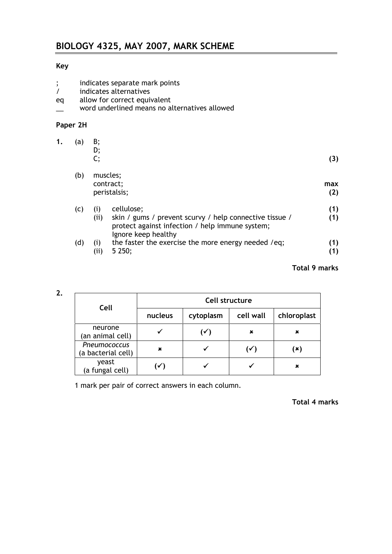# **Key**

- ; indicates separate mark points
- indicates alternatives
- eq allow for correct equivalent
- \_\_ word underlined means no alternatives allowed

#### **Paper 2H**

| 1. | (a) | B;<br>D;<br>c;                                                                                                                           | (3)        |
|----|-----|------------------------------------------------------------------------------------------------------------------------------------------|------------|
|    | (b) | muscles;                                                                                                                                 |            |
|    |     | contract;<br>peristalsis;                                                                                                                | max<br>(2) |
|    | (C) | cellulose;<br>(i)                                                                                                                        | (1)        |
|    |     | (i)<br>skin / gums / prevent scurvy / help connective tissue /<br>protect against infection / help immune system;<br>Ignore keep healthy | (1)        |
|    | (d) | the faster the exercise the more energy needed /eq;<br>(1)<br>5250;<br>(ii)                                                              | (1)<br>(1) |

### **Total 9 marks**

| œ |   |
|---|---|
| ٠ | ł |

| Cell                               | Cell structure    |           |           |             |  |
|------------------------------------|-------------------|-----------|-----------|-------------|--|
|                                    | nucleus           | cytoplasm | cell wall | chloroplast |  |
| neurone<br>(an animal cell)        |                   | (✓)       | ×         | ×           |  |
| Pneumococcus<br>(a bacterial cell) | x                 |           | (✓)       | (×)         |  |
| yeast<br>(a fungal cell)           | $\mathbf{\nabla}$ |           |           | x           |  |

1 mark per pair of correct answers in each column.

#### **Total 4 marks**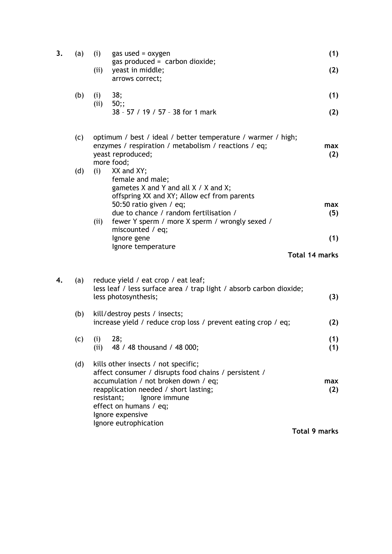| 3. | (a) | (i)          | gas used = $oxygen$<br>gas produced = $carbon dioxide;$                                                                                                                                                                                                                             | (1)                   |
|----|-----|--------------|-------------------------------------------------------------------------------------------------------------------------------------------------------------------------------------------------------------------------------------------------------------------------------------|-----------------------|
|    |     | (ii)         | yeast in middle;<br>arrows correct;                                                                                                                                                                                                                                                 | (2)                   |
|    | (b) | (i)<br>(ii)  | 38;<br>50;                                                                                                                                                                                                                                                                          | (1)                   |
|    |     |              | 38 - 57 / 19 / 57 - 38 for 1 mark                                                                                                                                                                                                                                                   | (2)                   |
|    | (c) |              | optimum / best / ideal / better temperature / warmer / high;<br>enzymes / respiration / metabolism / reactions / eq;<br>yeast reproduced;<br>more food;                                                                                                                             | max<br>(2)            |
|    | (d) | (i)          | XX and XY;<br>female and male;<br>gametes $X$ and $Y$ and all $X / X$ and $X$ ;<br>offspring XX and XY; Allow ecf from parents<br>50:50 ratio given $/$ eq;<br>due to chance / random fertilisation /                                                                               | max<br>(5)            |
|    |     | (ii)         | fewer Y sperm / more X sperm / wrongly sexed /<br>miscounted / eq;                                                                                                                                                                                                                  |                       |
|    |     |              | Ignore gene<br>Ignore temperature                                                                                                                                                                                                                                                   | (1)                   |
|    |     |              |                                                                                                                                                                                                                                                                                     | <b>Total 14 marks</b> |
| 4. | (a) |              | reduce yield / eat crop / eat leaf;<br>less leaf / less surface area / trap light / absorb carbon dioxide;<br>less photosynthesis;                                                                                                                                                  | (3)                   |
|    | (b) |              | kill/destroy pests / insects;<br>increase yield / reduce crop loss / prevent eating crop / eq;                                                                                                                                                                                      | (2)                   |
|    | (c) | (i)<br>(iii) | 28;<br>48 / 48 thousand / 48 000;                                                                                                                                                                                                                                                   | (1)<br>(1)            |
|    | (d) |              | kills other insects / not specific;<br>affect consumer / disrupts food chains / persistent /<br>accumulation / not broken down / eq;<br>reapplication needed / short lasting;<br>Ignore immune<br>resistant;<br>effect on humans / eq;<br>Ignore expensive<br>Ignore eutrophication | max<br>(2)            |
|    |     |              |                                                                                                                                                                                                                                                                                     | <b>Total 9 marks</b>  |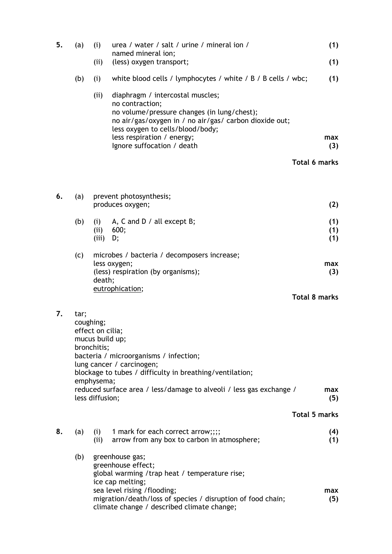| 5. | (a)               | (i)                                                              | urea / water / salt / urine / mineral ion /<br>named mineral ion;                                                                                                                                | (1)                  |
|----|-------------------|------------------------------------------------------------------|--------------------------------------------------------------------------------------------------------------------------------------------------------------------------------------------------|----------------------|
|    |                   | (ii)                                                             | (less) oxygen transport;                                                                                                                                                                         | (1)                  |
|    | (b)               | (i)                                                              | white blood cells / lymphocytes / white / B / B cells / wbc;                                                                                                                                     | (1)                  |
|    |                   | (ii)                                                             | diaphragm / intercostal muscles;<br>no contraction;<br>no volume/pressure changes (in lung/chest);<br>no air/gas/oxygen in / no air/gas/ carbon dioxide out;<br>less oxygen to cells/blood/body; |                      |
|    |                   |                                                                  | less respiration / energy;<br>Ignore suffocation / death                                                                                                                                         | max<br>(3)           |
|    |                   |                                                                  |                                                                                                                                                                                                  | <b>Total 6 marks</b> |
| 6. | (a)               |                                                                  | prevent photosynthesis;                                                                                                                                                                          |                      |
|    |                   |                                                                  | produces oxygen;                                                                                                                                                                                 | (2)                  |
|    | (b)               | (i)<br>(ii)<br>(iii)                                             | A, C and D $/$ all except B;<br>600;<br>D;                                                                                                                                                       | (1)<br>(1)<br>(1)    |
|    | (c)               | death;                                                           | microbes / bacteria / decomposers increase;<br>less oxygen;<br>(less) respiration (by organisms);                                                                                                | max<br>(3)           |
|    |                   |                                                                  | eutrophication;                                                                                                                                                                                  | <b>Total 8 marks</b> |
| 7. | tar;<br>coughing; | effect on cilia;<br>mucus build up;<br>bronchitis;<br>emphysema; | bacteria / microorganisms / infection;<br>lung cancer / carcinogen;<br>blockage to tubes / difficulty in breathing/ventilation;                                                                  |                      |
|    |                   | less diffusion;                                                  | reduced surface area / less/damage to alveoli / less gas exchange /                                                                                                                              | max<br>(5)           |
|    |                   |                                                                  |                                                                                                                                                                                                  | <b>Total 5 marks</b> |
| 8. | (a)               | (i)<br>(ii)                                                      | 1 mark for each correct arrow;;;;<br>arrow from any box to carbon in atmosphere;                                                                                                                 | (4)<br>(1)           |
|    | (b)               |                                                                  | greenhouse gas;<br>greenhouse effect;<br>global warming /trap heat / temperature rise;<br>ice cap melting;                                                                                       |                      |
|    |                   |                                                                  | sea level rising /flooding;<br>migration/death/loss of species / disruption of food chain;<br>climate change / described climate change;                                                         | max<br>(5)           |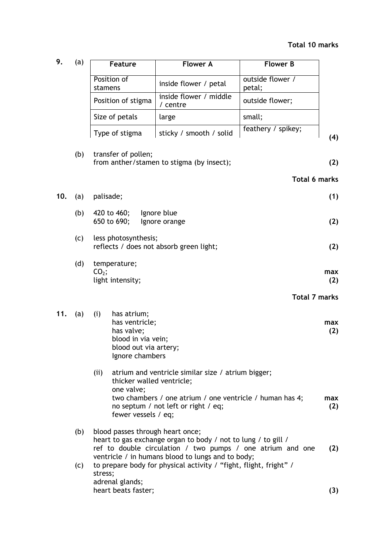| 9.  | (a) | Feature                                                                                                              | <b>Flower A</b>                                                                                                                                       | <b>Flower B</b>            |
|-----|-----|----------------------------------------------------------------------------------------------------------------------|-------------------------------------------------------------------------------------------------------------------------------------------------------|----------------------------|
|     |     | Position of<br>stamens                                                                                               | inside flower / petal                                                                                                                                 | outside flower /<br>petal; |
|     |     | Position of stigma                                                                                                   | inside flower / middle<br>/ centre                                                                                                                    | outside flower;            |
|     |     | Size of petals                                                                                                       | large                                                                                                                                                 | small;                     |
|     |     | Type of stigma                                                                                                       | sticky / smooth / solid                                                                                                                               | feathery / spikey;<br>(4)  |
|     | (b) | transfer of pollen;                                                                                                  | from anther/stamen to stigma (by insect);                                                                                                             | (2)                        |
|     |     |                                                                                                                      |                                                                                                                                                       | <b>Total 6 marks</b>       |
| 10. | (a) | palisade;                                                                                                            |                                                                                                                                                       | (1)                        |
|     | (b) | 420 to 460;<br>650 to 690;                                                                                           | Ignore blue<br>Ignore orange                                                                                                                          | (2)                        |
|     | (c) | less photosynthesis;                                                                                                 | reflects / does not absorb green light;                                                                                                               | (2)                        |
|     | (d) | temperature;<br>$CO2$ ;<br>light intensity;                                                                          |                                                                                                                                                       | max<br>(2)                 |
|     |     |                                                                                                                      |                                                                                                                                                       | <b>Total 7 marks</b>       |
| 11. | (a) | (i)<br>has atrium;<br>has ventricle;<br>has valve;<br>blood in via vein;<br>blood out via artery;<br>Ignore chambers |                                                                                                                                                       | max<br>(2)                 |
|     |     | (ii)<br>thicker walled ventricle;<br>one valve;<br>fewer vessels / eq;                                               | atrium and ventricle similar size / atrium bigger;<br>two chambers / one atrium / one ventricle / human has 4;<br>no septum / not left or right / eq; | max<br>(2)                 |
|     | (b) | blood passes through heart once;                                                                                     | heart to gas exchange organ to body / not to lung / to gill /<br>ref to double circulation / two pumps / one atrium and one                           | (2)                        |
|     | (c) | stress;<br>adrenal glands;                                                                                           | ventricle / in humans blood to lungs and to body;<br>to prepare body for physical activity / "fight, flight, fright" /                                |                            |

heart beats faster; **(3)**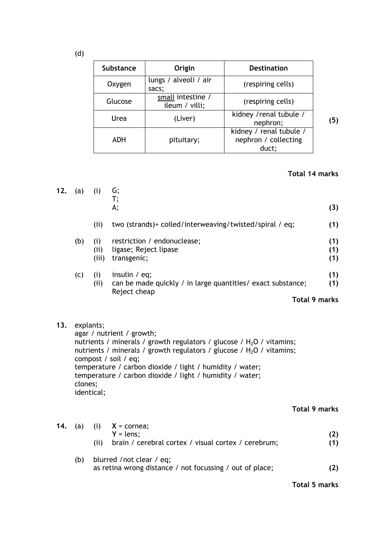| (d) |
|-----|
|     |

| <b>Substance</b> | Origin                              | <b>Destination</b>                                       |     |
|------------------|-------------------------------------|----------------------------------------------------------|-----|
| Oxygen           | lungs / alveoli / air<br>sacs;      | (respiring cells)                                        |     |
| Glucose          | small intestine /<br>ileum / villi; | (respiring cells)                                        |     |
| Urea             | (Liver)                             | kidney / renal tubule /<br>nephron;                      | (5) |
| ADH              | pituitary;                          | kidney / renal tubule /<br>nephron / collecting<br>duct; |     |

## **Total 14 marks**

| 12. | (a)                                | (i)                 | G;<br>T;<br>A;                                                                                                                                                                                                                                                                                                                  | (3)               |
|-----|------------------------------------|---------------------|---------------------------------------------------------------------------------------------------------------------------------------------------------------------------------------------------------------------------------------------------------------------------------------------------------------------------------|-------------------|
|     |                                    | (ii)                | two (strands)+ coiled/interweaving/twisted/spiral / eq;                                                                                                                                                                                                                                                                         | (1)               |
|     | (b)                                | (i)<br>(i)<br>(iii) | restriction / endonuclease;<br>ligase; Reject lipase<br>transgenic;                                                                                                                                                                                                                                                             | (1)<br>(1)<br>(1) |
|     | (c)                                | (i)<br>(ii)         | insulin $/$ eq;<br>can be made quickly / in large quantities/ exact substance;<br>Reject cheap                                                                                                                                                                                                                                  | (1)<br>(1)        |
|     |                                    |                     | <b>Total 9 marks</b>                                                                                                                                                                                                                                                                                                            |                   |
| 13. | explants;<br>clones;<br>identical; |                     | agar / nutrient / growth;<br>nutrients / minerals / growth regulators / glucose / $H_2O$ / vitamins;<br>nutrients / minerals / growth regulators / glucose / $H_2O$ / vitamins;<br>compost / soil / eq;<br>temperature / carbon dioxide / light / humidity / water;<br>temperature / carbon dioxide / light / humidity / water; |                   |
|     |                                    |                     | <b>Total 9 marks</b>                                                                                                                                                                                                                                                                                                            |                   |

|     | <b>14.</b> (a) (i) $X = \text{cornea}$ ;<br>$Y = lens$<br>brain / cerebral cortex / visual cortex / cerebrum;<br>(ii) |  |
|-----|-----------------------------------------------------------------------------------------------------------------------|--|
| (b) | blurred / not clear / eq;<br>as retina wrong distance / not focussing / out of place;                                 |  |

**Total 5 marks**